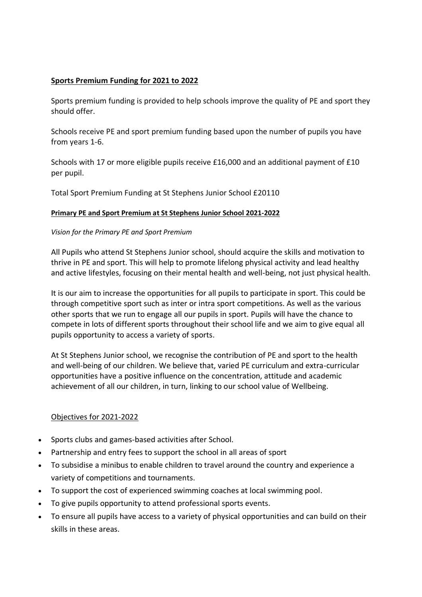## **Sports Premium Funding for 2021 to 2022**

Sports premium funding is provided to help schools improve the quality of PE and sport they should offer.

Schools receive PE and sport premium funding based upon the number of pupils you have from years 1-6.

Schools with 17 or more eligible pupils receive £16,000 and an additional payment of £10 per pupil.

Total Sport Premium Funding at St Stephens Junior School £20110

## **Primary PE and Sport Premium at St Stephens Junior School 2021-2022**

## *Vision for the Primary PE and Sport Premium*

All Pupils who attend St Stephens Junior school, should acquire the skills and motivation to thrive in PE and sport. This will help to promote lifelong physical activity and lead healthy and active lifestyles, focusing on their mental health and well-being, not just physical health.

It is our aim to increase the opportunities for all pupils to participate in sport. This could be through competitive sport such as inter or intra sport competitions. As well as the various other sports that we run to engage all our pupils in sport. Pupils will have the chance to compete in lots of different sports throughout their school life and we aim to give equal all pupils opportunity to access a variety of sports.

At St Stephens Junior school, we recognise the contribution of PE and sport to the health and well-being of our children. We believe that, varied PE curriculum and extra-curricular opportunities have a positive influence on the concentration, attitude and academic achievement of all our children, in turn, linking to our school value of Wellbeing.

## Objectives for 2021-2022

- Sports clubs and games-based activities after School.
- Partnership and entry fees to support the school in all areas of sport
- To subsidise a minibus to enable children to travel around the country and experience a variety of competitions and tournaments.
- To support the cost of experienced swimming coaches at local swimming pool.
- To give pupils opportunity to attend professional sports events.
- To ensure all pupils have access to a variety of physical opportunities and can build on their skills in these areas.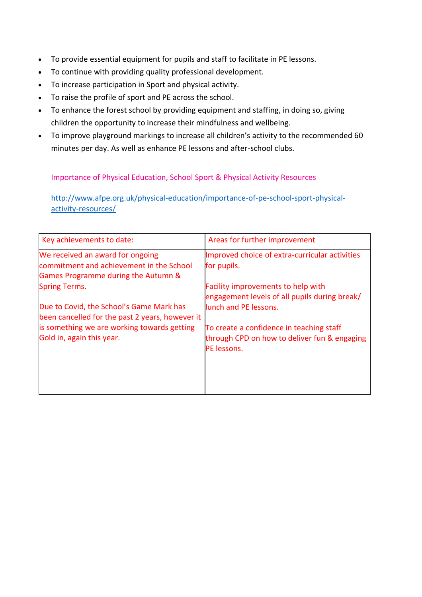- To provide essential equipment for pupils and staff to facilitate in PE lessons.
- To continue with providing quality professional development.
- To increase participation in Sport and physical activity.
- To raise the profile of sport and PE across the school.
- To enhance the forest school by providing equipment and staffing, in doing so, giving children the opportunity to increase their mindfulness and wellbeing.
- To improve playground markings to increase all children's activity to the recommended 60 minutes per day. As well as enhance PE lessons and after-school clubs.

Importance of Physical Education, School Sport & Physical Activity Resources

[http://www.afpe.org.uk/physical-education/importance-of-pe-school-sport-physical](http://www.afpe.org.uk/physical-education/importance-of-pe-school-sport-physical-activity-resources/)[activity-resources/](http://www.afpe.org.uk/physical-education/importance-of-pe-school-sport-physical-activity-resources/)

| Key achievements to date:                                                                                           | Areas for further improvement                                                                           |
|---------------------------------------------------------------------------------------------------------------------|---------------------------------------------------------------------------------------------------------|
| We received an award for ongoing<br>commitment and achievement in the School<br>Games Programme during the Autumn & | Improved choice of extra-curricular activities<br>for pupils.                                           |
| <b>Spring Terms.</b>                                                                                                | <b>Facility improvements to help with</b><br>engagement levels of all pupils during break/              |
| Due to Covid, the School's Game Mark has<br>been cancelled for the past 2 years, however it                         | lunch and PE lessons.                                                                                   |
| is something we are working towards getting<br>Gold in, again this year.                                            | To create a confidence in teaching staff<br>through CPD on how to deliver fun & engaging<br>PE lessons. |
|                                                                                                                     |                                                                                                         |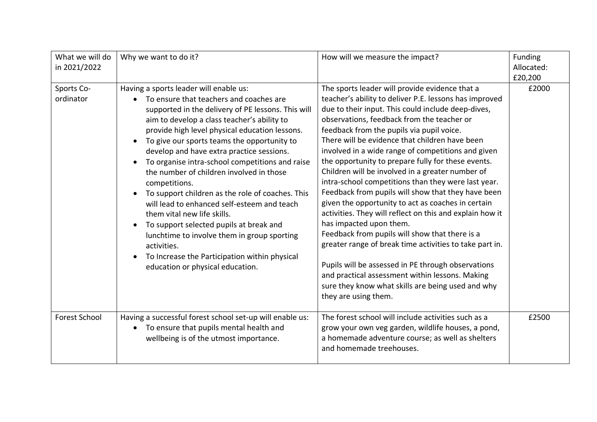| What we will do<br>in 2021/2022 | Why we want to do it?                                                                                                                                                                                                                                                                                                                                                                                                                                                                                                                                                                                                                                                                                                                                                                                          | How will we measure the impact?                                                                                                                                                                                                                                                                                                                                                                                                                                                                                                                                                                                                                                                                                                                                                                                                                                                                                                                                                                                                          | Funding<br>Allocated:<br>£20,200 |
|---------------------------------|----------------------------------------------------------------------------------------------------------------------------------------------------------------------------------------------------------------------------------------------------------------------------------------------------------------------------------------------------------------------------------------------------------------------------------------------------------------------------------------------------------------------------------------------------------------------------------------------------------------------------------------------------------------------------------------------------------------------------------------------------------------------------------------------------------------|------------------------------------------------------------------------------------------------------------------------------------------------------------------------------------------------------------------------------------------------------------------------------------------------------------------------------------------------------------------------------------------------------------------------------------------------------------------------------------------------------------------------------------------------------------------------------------------------------------------------------------------------------------------------------------------------------------------------------------------------------------------------------------------------------------------------------------------------------------------------------------------------------------------------------------------------------------------------------------------------------------------------------------------|----------------------------------|
| Sports Co-<br>ordinator         | Having a sports leader will enable us:<br>To ensure that teachers and coaches are<br>$\bullet$<br>supported in the delivery of PE lessons. This will<br>aim to develop a class teacher's ability to<br>provide high level physical education lessons.<br>To give our sports teams the opportunity to<br>develop and have extra practice sessions.<br>To organise intra-school competitions and raise<br>the number of children involved in those<br>competitions.<br>To support children as the role of coaches. This<br>will lead to enhanced self-esteem and teach<br>them vital new life skills.<br>To support selected pupils at break and<br>$\bullet$<br>lunchtime to involve them in group sporting<br>activities.<br>To Increase the Participation within physical<br>education or physical education. | The sports leader will provide evidence that a<br>teacher's ability to deliver P.E. lessons has improved<br>due to their input. This could include deep-dives,<br>observations, feedback from the teacher or<br>feedback from the pupils via pupil voice.<br>There will be evidence that children have been<br>involved in a wide range of competitions and given<br>the opportunity to prepare fully for these events.<br>Children will be involved in a greater number of<br>intra-school competitions than they were last year.<br>Feedback from pupils will show that they have been<br>given the opportunity to act as coaches in certain<br>activities. They will reflect on this and explain how it<br>has impacted upon them.<br>Feedback from pupils will show that there is a<br>greater range of break time activities to take part in.<br>Pupils will be assessed in PE through observations<br>and practical assessment within lessons. Making<br>sure they know what skills are being used and why<br>they are using them. | £2000                            |
| <b>Forest School</b>            | Having a successful forest school set-up will enable us:<br>To ensure that pupils mental health and<br>wellbeing is of the utmost importance.                                                                                                                                                                                                                                                                                                                                                                                                                                                                                                                                                                                                                                                                  | The forest school will include activities such as a<br>grow your own veg garden, wildlife houses, a pond,<br>a homemade adventure course; as well as shelters<br>and homemade treehouses.                                                                                                                                                                                                                                                                                                                                                                                                                                                                                                                                                                                                                                                                                                                                                                                                                                                | £2500                            |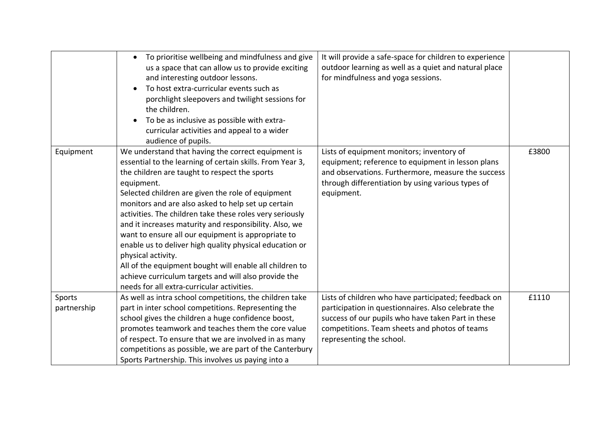|             | To prioritise wellbeing and mindfulness and give<br>us a space that can allow us to provide exciting<br>and interesting outdoor lessons.<br>To host extra-curricular events such as<br>porchlight sleepovers and twilight sessions for<br>the children.<br>To be as inclusive as possible with extra-<br>curricular activities and appeal to a wider<br>audience of pupils.                                                                                                                                                                                                                                                                                                                                             | It will provide a safe-space for children to experience<br>outdoor learning as well as a quiet and natural place<br>for mindfulness and yoga sessions.                                                                  |       |
|-------------|-------------------------------------------------------------------------------------------------------------------------------------------------------------------------------------------------------------------------------------------------------------------------------------------------------------------------------------------------------------------------------------------------------------------------------------------------------------------------------------------------------------------------------------------------------------------------------------------------------------------------------------------------------------------------------------------------------------------------|-------------------------------------------------------------------------------------------------------------------------------------------------------------------------------------------------------------------------|-------|
| Equipment   | We understand that having the correct equipment is<br>essential to the learning of certain skills. From Year 3,<br>the children are taught to respect the sports<br>equipment.<br>Selected children are given the role of equipment<br>monitors and are also asked to help set up certain<br>activities. The children take these roles very seriously<br>and it increases maturity and responsibility. Also, we<br>want to ensure all our equipment is appropriate to<br>enable us to deliver high quality physical education or<br>physical activity.<br>All of the equipment bought will enable all children to<br>achieve curriculum targets and will also provide the<br>needs for all extra-curricular activities. | Lists of equipment monitors; inventory of<br>equipment; reference to equipment in lesson plans<br>and observations. Furthermore, measure the success<br>through differentiation by using various types of<br>equipment. | £3800 |
| Sports      | As well as intra school competitions, the children take<br>part in inter school competitions. Representing the                                                                                                                                                                                                                                                                                                                                                                                                                                                                                                                                                                                                          | Lists of children who have participated; feedback on<br>participation in questionnaires. Also celebrate the                                                                                                             | £1110 |
| partnership | school gives the children a huge confidence boost,                                                                                                                                                                                                                                                                                                                                                                                                                                                                                                                                                                                                                                                                      | success of our pupils who have taken Part in these                                                                                                                                                                      |       |
|             | promotes teamwork and teaches them the core value                                                                                                                                                                                                                                                                                                                                                                                                                                                                                                                                                                                                                                                                       | competitions. Team sheets and photos of teams                                                                                                                                                                           |       |
|             | of respect. To ensure that we are involved in as many                                                                                                                                                                                                                                                                                                                                                                                                                                                                                                                                                                                                                                                                   | representing the school.                                                                                                                                                                                                |       |
|             | competitions as possible, we are part of the Canterbury                                                                                                                                                                                                                                                                                                                                                                                                                                                                                                                                                                                                                                                                 |                                                                                                                                                                                                                         |       |
|             | Sports Partnership. This involves us paying into a                                                                                                                                                                                                                                                                                                                                                                                                                                                                                                                                                                                                                                                                      |                                                                                                                                                                                                                         |       |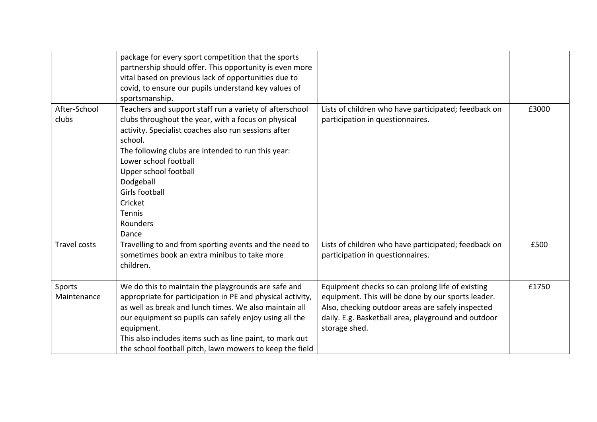|                       | package for every sport competition that the sports<br>partnership should offer. This opportunity is even more<br>vital based on previous lack of opportunities due to<br>covid, to ensure our pupils understand key values of<br>sportsmanship.                                                                                                                            |                                                                                                                                                                                                                                     |       |
|-----------------------|-----------------------------------------------------------------------------------------------------------------------------------------------------------------------------------------------------------------------------------------------------------------------------------------------------------------------------------------------------------------------------|-------------------------------------------------------------------------------------------------------------------------------------------------------------------------------------------------------------------------------------|-------|
| After-School<br>clubs | Teachers and support staff run a variety of afterschool<br>clubs throughout the year, with a focus on physical<br>activity. Specialist coaches also run sessions after<br>school.<br>The following clubs are intended to run this year:<br>Lower school football<br>Upper school football<br>Dodgeball<br>Girls football<br>Cricket<br>Tennis<br>Rounders<br>Dance          | Lists of children who have participated; feedback on<br>participation in questionnaires.                                                                                                                                            | £3000 |
| <b>Travel costs</b>   | Travelling to and from sporting events and the need to<br>sometimes book an extra minibus to take more<br>children.                                                                                                                                                                                                                                                         | Lists of children who have participated; feedback on<br>participation in questionnaires.                                                                                                                                            | £500  |
| Sports<br>Maintenance | We do this to maintain the playgrounds are safe and<br>appropriate for participation in PE and physical activity,<br>as well as break and lunch times. We also maintain all<br>our equipment so pupils can safely enjoy using all the<br>equipment.<br>This also includes items such as line paint, to mark out<br>the school football pitch, lawn mowers to keep the field | Equipment checks so can prolong life of existing<br>equipment. This will be done by our sports leader.<br>Also, checking outdoor areas are safely inspected<br>daily. E.g. Basketball area, playground and outdoor<br>storage shed. | £1750 |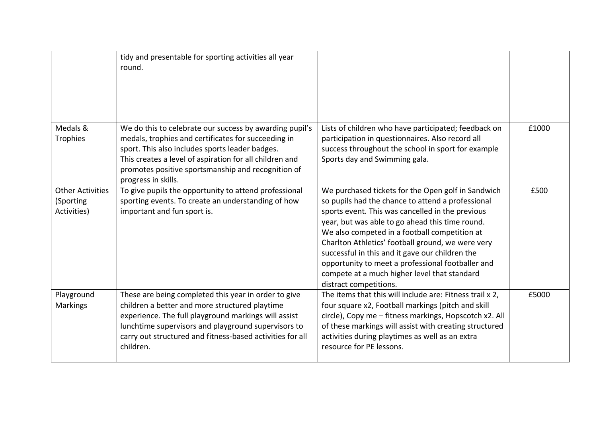|                                                     | tidy and presentable for sporting activities all year<br>round.                                                                                                                                                                                                                                           |                                                                                                                                                                                                                                                                                                                                                                                                                                                                                                        |       |
|-----------------------------------------------------|-----------------------------------------------------------------------------------------------------------------------------------------------------------------------------------------------------------------------------------------------------------------------------------------------------------|--------------------------------------------------------------------------------------------------------------------------------------------------------------------------------------------------------------------------------------------------------------------------------------------------------------------------------------------------------------------------------------------------------------------------------------------------------------------------------------------------------|-------|
| Medals &<br>Trophies                                | We do this to celebrate our success by awarding pupil's<br>medals, trophies and certificates for succeeding in<br>sport. This also includes sports leader badges.<br>This creates a level of aspiration for all children and<br>promotes positive sportsmanship and recognition of<br>progress in skills. | Lists of children who have participated; feedback on<br>participation in questionnaires. Also record all<br>success throughout the school in sport for example<br>Sports day and Swimming gala.                                                                                                                                                                                                                                                                                                        | £1000 |
| <b>Other Activities</b><br>(Sporting<br>Activities) | To give pupils the opportunity to attend professional<br>sporting events. To create an understanding of how<br>important and fun sport is.                                                                                                                                                                | We purchased tickets for the Open golf in Sandwich<br>so pupils had the chance to attend a professional<br>sports event. This was cancelled in the previous<br>year, but was able to go ahead this time round.<br>We also competed in a football competition at<br>Charlton Athletics' football ground, we were very<br>successful in this and it gave our children the<br>opportunity to meet a professional footballer and<br>compete at a much higher level that standard<br>distract competitions. | £500  |
| Playground<br><b>Markings</b>                       | These are being completed this year in order to give<br>children a better and more structured playtime<br>experience. The full playground markings will assist<br>lunchtime supervisors and playground supervisors to<br>carry out structured and fitness-based activities for all<br>children.           | The items that this will include are: Fitness trail x 2,<br>four square x2, Football markings (pitch and skill<br>circle), Copy me - fitness markings, Hopscotch x2. All<br>of these markings will assist with creating structured<br>activities during playtimes as well as an extra<br>resource for PE lessons.                                                                                                                                                                                      | £5000 |